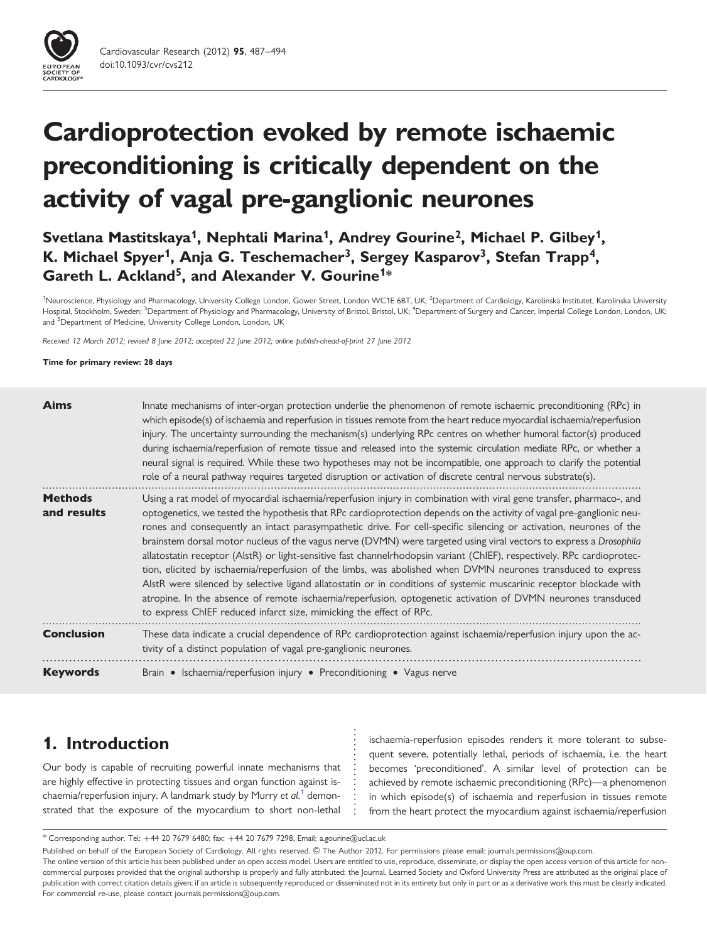# Cardioprotection evoked by remote ischaemic preconditioning is critically dependent on the activity of vagal pre-ganglionic neurones

Svetlana Mastitskaya<sup>1</sup>, Nephtali Marina<sup>1</sup>, Andrey Gourine<sup>2</sup>, Michael P. Gilbey<sup>1</sup>, K. Michael Spyer<sup>1</sup>, Anja G. Teschemacher<sup>3</sup>, Sergey Kasparov<sup>3</sup>, Stefan Trapp<sup>4</sup>, Gareth L. Ackland<sup>5</sup>, and Alexander V. Gourine<sup>1\*</sup>

<sup>1</sup>Neuroscience, Physiology and Pharmacology, University College London, Gower Street, London WC1E 6BT, UK; <sup>2</sup>Department of Cardiology, Karolinska Institutet, Karolinska University Hospital, Stockholm, Sweden; <sup>3</sup>Department of Physiology and Pharmacology, University of Bristol, Bristol, UK; <sup>4</sup>Department of Surgery and Cancer, Imperial College London, London, UK; and <sup>5</sup>Department of Medicine, University College London, London, UK

Received 12 March 2012; revised 8 June 2012; accepted 22 June 2012; online publish-ahead-of-print 27 June 2012

Time for primary review: 28 days

| <b>Aims</b>                   | Innate mechanisms of inter-organ protection underlie the phenomenon of remote ischaemic preconditioning (RPc) in<br>which episode(s) of ischaemia and reperfusion in tissues remote from the heart reduce myocardial ischaemia/reperfusion<br>injury. The uncertainty surrounding the mechanism(s) underlying RPc centres on whether humoral factor(s) produced<br>during ischaemia/reperfusion of remote tissue and released into the systemic circulation mediate RPc, or whether a<br>neural signal is required. While these two hypotheses may not be incompatible, one approach to clarify the potential<br>role of a neural pathway requires targeted disruption or activation of discrete central nervous substrate(s).                                                                                                                                                                                                                                                                                                                     |
|-------------------------------|----------------------------------------------------------------------------------------------------------------------------------------------------------------------------------------------------------------------------------------------------------------------------------------------------------------------------------------------------------------------------------------------------------------------------------------------------------------------------------------------------------------------------------------------------------------------------------------------------------------------------------------------------------------------------------------------------------------------------------------------------------------------------------------------------------------------------------------------------------------------------------------------------------------------------------------------------------------------------------------------------------------------------------------------------|
| <b>Methods</b><br>and results | Using a rat model of myocardial ischaemia/reperfusion injury in combination with viral gene transfer, pharmaco-, and<br>optogenetics, we tested the hypothesis that RPc cardioprotection depends on the activity of vagal pre-ganglionic neu-<br>rones and consequently an intact parasympathetic drive. For cell-specific silencing or activation, neurones of the<br>brainstem dorsal motor nucleus of the vagus nerve (DVMN) were targeted using viral vectors to express a Drosophila<br>allatostatin receptor (AlstR) or light-sensitive fast channelrhodopsin variant (ChIEF), respectively. RPc cardioprotec-<br>tion, elicited by ischaemia/reperfusion of the limbs, was abolished when DVMN neurones transduced to express<br>AlstR were silenced by selective ligand allatostatin or in conditions of systemic muscarinic receptor blockade with<br>atropine. In the absence of remote ischaemia/reperfusion, optogenetic activation of DVMN neurones transduced<br>to express ChIEF reduced infarct size, mimicking the effect of RPc. |
| <b>Conclusion</b>             | These data indicate a crucial dependence of RPc cardioprotection against ischaemia/reperfusion injury upon the ac-<br>tivity of a distinct population of vagal pre-ganglionic neurones.                                                                                                                                                                                                                                                                                                                                                                                                                                                                                                                                                                                                                                                                                                                                                                                                                                                            |
| <b>Keywords</b>               | Brain • Ischaemia/reperfusion injury • Preconditioning • Vagus nerve                                                                                                                                                                                                                                                                                                                                                                                                                                                                                                                                                                                                                                                                                                                                                                                                                                                                                                                                                                               |

# 1. Introduction

Our body is capable of recruiting powerful innate mechanisms that are highly effective in protecting tissues and organ function against is-chaemia/reperfusion injury. A landmark study by Murry et al.<sup>[1](#page-7-0)</sup> demonstrated that the exposure of the myocardium to short non-lethal

ischaemia-reperfusion episodes renders it more tolerant to subsequent severe, potentially lethal, periods of ischaemia, i.e. the heart becomes 'preconditioned'. A similar level of protection can be achieved by remote ischaemic preconditioning (RPc)—a phenomenon in which episode(s) of ischaemia and reperfusion in tissues remote from the heart protect the myocardium against ischaemia/reperfusion

<sup>\*</sup> Corresponding author. Tel: +44 20 7679 6480; fax: +44 20 7679 7298, Email: a.gourine@ucl.ac.uk

Published on behalf of the European Society of Cardiology. All rights reserved. © The Author 2012. For permissions please email: journals.permissions@oup.com.

The online version of this article has been published under an open access model. Users are entitled to use, reproduce, disseminate, or display the open access version of this article for noncommercial purposes provided that the original authorship is properly and fully attributed; the Journal, Learned Society and Oxford University Press are attributed as the original place of publication with correct citation details given; if an article is subsequently reproduced or disseminated not in its entirety but only in part or as a derivative work this must be clearly indicated. For commercial re-use, please contact journals.permissions@oup.com.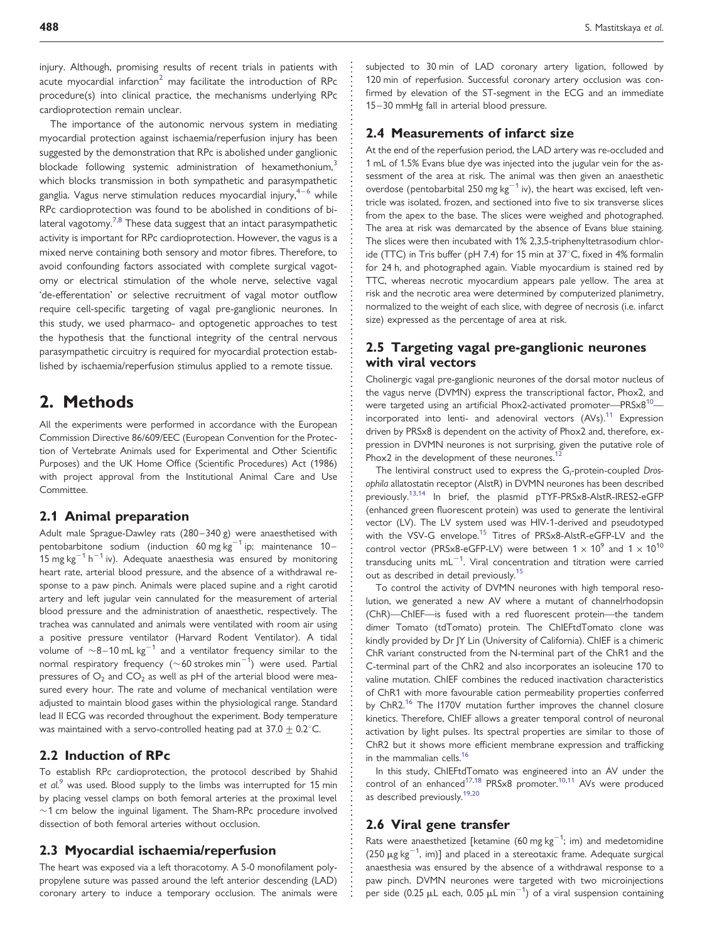injury. Although, promising results of recent trials in patients with acute myocardial infarction $2$  may facilitate the introduction of RPc procedure(s) into clinical practice, the mechanisms underlying RPc cardioprotection remain unclear.

The importance of the autonomic nervous system in mediating myocardial protection against ischaemia/reperfusion injury has been suggested by the demonstration that RPc is abolished under ganglionic blockade following systemic administration of hexamethonium,<sup>[3](#page-7-0)</sup> which blocks transmission in both sympathetic and parasympathetic ganglia. Vagus nerve stimulation reduces myocardial injury,  $4-6$  $4-6$  $4-6$  while RPc cardioprotection was found to be abolished in conditions of bilateral vagotomy. $7,8$  $7,8$  $7,8$  These data suggest that an intact parasympathetic activity is important for RPc cardioprotection. However, the vagus is a mixed nerve containing both sensory and motor fibres. Therefore, to avoid confounding factors associated with complete surgical vagotomy or electrical stimulation of the whole nerve, selective vagal 'de-efferentation' or selective recruitment of vagal motor outflow require cell-specific targeting of vagal pre-ganglionic neurones. In this study, we used pharmaco- and optogenetic approaches to test the hypothesis that the functional integrity of the central nervous parasympathetic circuitry is required for myocardial protection established by ischaemia/reperfusion stimulus applied to a remote tissue.

# 2. Methods

All the experiments were performed in accordance with the European Commission Directive 86/609/EEC (European Convention for the Protection of Vertebrate Animals used for Experimental and Other Scientific Purposes) and the UK Home Office (Scientific Procedures) Act (1986) with project approval from the Institutional Animal Care and Use Committee.

## 2.1 Animal preparation

Adult male Sprague-Dawley rats (280-340 g) were anaesthetised with pentobarbitone sodium (induction 60 mg kg<sup>-1</sup> ip; maintenance 10-15 mg kg<sup>-1</sup> h<sup>-1</sup> iv). Adequate anaesthesia was ensured by monitoring heart rate, arterial blood pressure, and the absence of a withdrawal response to a paw pinch. Animals were placed supine and a right carotid artery and left jugular vein cannulated for the measurement of arterial blood pressure and the administration of anaesthetic, respectively. The trachea was cannulated and animals were ventilated with room air using a positive pressure ventilator (Harvard Rodent Ventilator). A tidal volume of  $\sim$ 8–10 mL kg<sup>-1</sup> and a ventilator frequency similar to the normal respiratory frequency ( $\sim$  60 strokes min $^{-1}$ ) were used. Partial pressures of  $O_2$  and  $CO_2$  as well as pH of the arterial blood were measured every hour. The rate and volume of mechanical ventilation were adjusted to maintain blood gases within the physiological range. Standard lead II ECG was recorded throughout the experiment. Body temperature was maintained with a servo-controlled heating pad at  $37.0 \pm 0.2^{\circ}$ C.

### 2.2 Induction of RPc

To establish RPc cardioprotection, the protocol described by Shahid et  $al^9$  $al^9$  was used. Blood supply to the limbs was interrupted for 15 min by placing vessel clamps on both femoral arteries at the proximal level  $\sim$ 1 cm below the inguinal ligament. The Sham-RPc procedure involved dissection of both femoral arteries without occlusion.

# 2.3 Myocardial ischaemia/reperfusion

The heart was exposed via a left thoracotomy. A 5-0 monofilament polypropylene suture was passed around the left anterior descending (LAD) coronary artery to induce a temporary occlusion. The animals were subjected to 30 min of LAD coronary artery ligation, followed by 120 min of reperfusion. Successful coronary artery occlusion was confirmed by elevation of the ST-segment in the ECG and an immediate 15 – 30 mmHg fall in arterial blood pressure.

### 2.4 Measurements of infarct size

At the end of the reperfusion period, the LAD artery was re-occluded and 1 mL of 1.5% Evans blue dye was injected into the jugular vein for the assessment of the area at risk. The animal was then given an anaesthetic overdose (pentobarbital 250 mg  $kg^{-1}$  iv), the heart was excised, left ventricle was isolated, frozen, and sectioned into five to six transverse slices from the apex to the base. The slices were weighed and photographed. The area at risk was demarcated by the absence of Evans blue staining. The slices were then incubated with 1% 2,3,5-triphenyltetrasodium chloride (TTC) in Tris buffer (pH 7.4) for 15 min at 37°C, fixed in 4% formalin for 24 h, and photographed again. Viable myocardium is stained red by TTC, whereas necrotic myocardium appears pale yellow. The area at risk and the necrotic area were determined by computerized planimetry, normalized to the weight of each slice, with degree of necrosis (i.e. infarct size) expressed as the percentage of area at risk.

# 2.5 Targeting vagal pre-ganglionic neurones with viral vectors

Cholinergic vagal pre-ganglionic neurones of the dorsal motor nucleus of the vagus nerve (DVMN) express the transcriptional factor, Phox2, and were targeted using an artificial Phox2-activated promoter—PRSx8<sup>10</sup>— incorporated into lenti- and adenoviral vectors (AVs).<sup>[11](#page-7-0)</sup> Expression driven by PRSx8 is dependent on the activity of Phox2 and, therefore, expression in DVMN neurones is not surprising, given the putative role of Phox2 in the development of these neurones.<sup>12</sup>

The lentiviral construct used to express the G<sub>i</sub>-protein-coupled Drosophila allatostatin receptor (AlstR) in DVMN neurones has been described previously.[13,14](#page-7-0) In brief, the plasmid pTYF-PRSx8-AlstR-IRES2-eGFP (enhanced green fluorescent protein) was used to generate the lentiviral vector (LV). The LV system used was HIV-1-derived and pseudotyped with the VSV-G envelope.[15](#page-7-0) Titres of PRSx8-AlstR-eGFP-LV and the control vector (PRSx8-eGFP-LV) were between  $1 \times 10^9$  and  $1 \times 10^{10}$ transducing units  $mL^{-1}$ . Viral concentration and titration were carried out as described in detail previously.<sup>[15](#page-7-0)</sup>

To control the activity of DVMN neurones with high temporal resolution, we generated a new AV where a mutant of channelrhodopsin (ChR)—ChIEF—is fused with a red fluorescent protein—the tandem dimer Tomato (tdTomato) protein. The ChIEFtdTomato clone was kindly provided by Dr JY Lin (University of California). ChIEF is a chimeric ChR variant constructed from the N-terminal part of the ChR1 and the C-terminal part of the ChR2 and also incorporates an isoleucine 170 to valine mutation. ChIEF combines the reduced inactivation characteristics of ChR1 with more favourable cation permeability properties conferred by ChR2.<sup>[16](#page-7-0)</sup> The I170V mutation further improves the channel closure kinetics. Therefore, ChIEF allows a greater temporal control of neuronal activation by light pulses. Its spectral properties are similar to those of ChR2 but it shows more efficient membrane expression and trafficking in the mammalian cells.<sup>[16](#page-7-0)</sup>

In this study, ChIEFtdTomato was engineered into an AV under the control of an enhanced<sup>[17](#page-7-0),[18](#page-7-0)</sup> PRSx8 promoter.<sup>[10,11](#page-7-0)</sup> AVs were produced as described previously[.19](#page-7-0),[20](#page-7-0)

### 2.6 Viral gene transfer

Rats were anaesthetized [ketamine (60 mg  $kg^{-1}$ ; im) and medetomidine (250  $\mu$ g kg<sup>-1</sup>, im)] and placed in a stereotaxic frame. Adequate surgical anaesthesia was ensured by the absence of a withdrawal response to a paw pinch. DVMN neurones were targeted with two microinjections per side (0.25  $\mu$ L each, 0.05  $\mu$ L min<sup>-1</sup>) of a viral suspension containing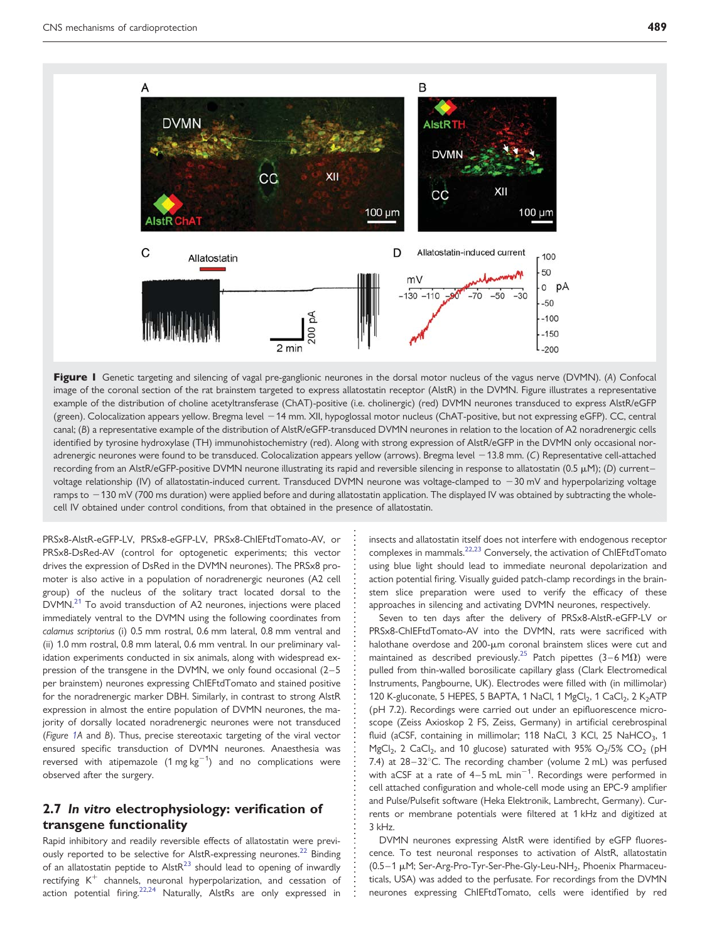<span id="page-2-0"></span>

Figure I Genetic targeting and silencing of vagal pre-ganglionic neurones in the dorsal motor nucleus of the vagus nerve (DVMN). (A) Confocal image of the coronal section of the rat brainstem targeted to express allatostatin receptor (AlstR) in the DVMN. Figure illustrates a representative example of the distribution of choline acetyltransferase (ChAT)-positive (i.e. cholinergic) (red) DVMN neurones transduced to express AlstR/eGFP (green). Colocalization appears yellow. Bregma level -14 mm. XII, hypoglossal motor nucleus (ChAT-positive, but not expressing eGFP). CC, central canal; (B) a representative example of the distribution of AlstR/eGFP-transduced DVMN neurones in relation to the location of A2 noradrenergic cells identified by tyrosine hydroxylase (TH) immunohistochemistry (red). Along with strong expression of AlstR/eGFP in the DVMN only occasional noradrenergic neurones were found to be transduced. Colocalization appears yellow (arrows). Bregma level -13.8 mm. (C) Representative cell-attached recording from an AlstR/eGFP-positive DVMN neurone illustrating its rapid and reversible silencing in response to allatostatin (0.5 µM); (D) currentvoltage relationship (IV) of allatostatin-induced current. Transduced DVMN neurone was voltage-clamped to -30 mV and hyperpolarizing voltage ramps to -130 mV (700 ms duration) were applied before and during allatostatin application. The displayed IV was obtained by subtracting the wholecell IV obtained under control conditions, from that obtained in the presence of allatostatin.

PRSx8-AlstR-eGFP-LV, PRSx8-eGFP-LV, PRSx8-ChIEFtdTomato-AV, or PRSx8-DsRed-AV (control for optogenetic experiments; this vector drives the expression of DsRed in the DVMN neurones). The PRSx8 promoter is also active in a population of noradrenergic neurones (A2 cell group) of the nucleus of the solitary tract located dorsal to the DVMN.<sup>[21](#page-7-0)</sup> To avoid transduction of A2 neurones, injections were placed immediately ventral to the DVMN using the following coordinates from calamus scriptorius (i) 0.5 mm rostral, 0.6 mm lateral, 0.8 mm ventral and (ii) 1.0 mm rostral, 0.8 mm lateral, 0.6 mm ventral. In our preliminary validation experiments conducted in six animals, along with widespread expression of the transgene in the DVMN, we only found occasional (2-5 per brainstem) neurones expressing ChIEFtdTomato and stained positive for the noradrenergic marker DBH. Similarly, in contrast to strong AlstR expression in almost the entire population of DVMN neurones, the majority of dorsally located noradrenergic neurones were not transduced (Figure 1A and B). Thus, precise stereotaxic targeting of the viral vector ensured specific transduction of DVMN neurones. Anaesthesia was reversed with atipemazole  $(1 \text{ mg kg}^{-1})$  and no complications were observed after the surgery.

# 2.7 In vitro electrophysiology: verification of transgene functionality

Rapid inhibitory and readily reversible effects of allatostatin were previ-ously reported to be selective for AlstR-expressing neurones.<sup>[22](#page-7-0)</sup> Binding of an allatostatin peptide to  $\text{AlstR}^{23}$  $\text{AlstR}^{23}$  $\text{AlstR}^{23}$  should lead to opening of inwardly rectifying  $K^+$  channels, neuronal hyperpolarization, and cessation of action potential firing. $22,24$  Naturally, AlstRs are only expressed in insects and allatostatin itself does not interfere with endogenous receptor complexes in mammals.[22,23](#page-7-0) Conversely, the activation of ChIEFtdTomato using blue light should lead to immediate neuronal depolarization and action potential firing. Visually guided patch-clamp recordings in the brainstem slice preparation were used to verify the efficacy of these approaches in silencing and activating DVMN neurones, respectively.

Seven to ten days after the delivery of PRSx8-AlstR-eGFP-LV or PRSx8-ChIEFtdTomato-AV into the DVMN, rats were sacrificed with halothane overdose and  $200$ - $\mu$ m coronal brainstem slices were cut and maintained as described previously.<sup>25</sup> Patch pipettes (3–6 M $\Omega$ ) were pulled from thin-walled borosilicate capillary glass (Clark Electromedical Instruments, Pangbourne, UK). Electrodes were filled with (in millimolar) 120 K-gluconate, 5 HEPES, 5 BAPTA, 1 NaCl, 1 MgCl<sub>2</sub>, 1 CaCl<sub>2</sub>, 2 K<sub>2</sub>ATP (pH 7.2). Recordings were carried out under an epifluorescence microscope (Zeiss Axioskop 2 FS, Zeiss, Germany) in artificial cerebrospinal fluid (aCSF, containing in millimolar; 118 NaCl, 3 KCl, 25 NaHCO<sub>3</sub>, 1 MgCl<sub>2</sub>, 2 CaCl<sub>2</sub>, and 10 glucose) saturated with 95% O<sub>2</sub>/5% CO<sub>2</sub> (pH 7.4) at  $28-32^{\circ}$ C. The recording chamber (volume 2 mL) was perfused with aCSF at a rate of  $4-5$  mL min<sup>-1</sup>. Recordings were performed in cell attached configuration and whole-cell mode using an EPC-9 amplifier and Pulse/Pulsefit software (Heka Elektronik, Lambrecht, Germany). Currents or membrane potentials were filtered at 1 kHz and digitized at 3 kHz.

DVMN neurones expressing AlstR were identified by eGFP fluorescence. To test neuronal responses to activation of AlstR, allatostatin (0.5–1 µM; Ser-Arg-Pro-Tyr-Ser-Phe-Gly-Leu-NH<sub>2</sub>, Phoenix Pharmaceuticals, USA) was added to the perfusate. For recordings from the DVMN neurones expressing ChIEFtdTomato, cells were identified by red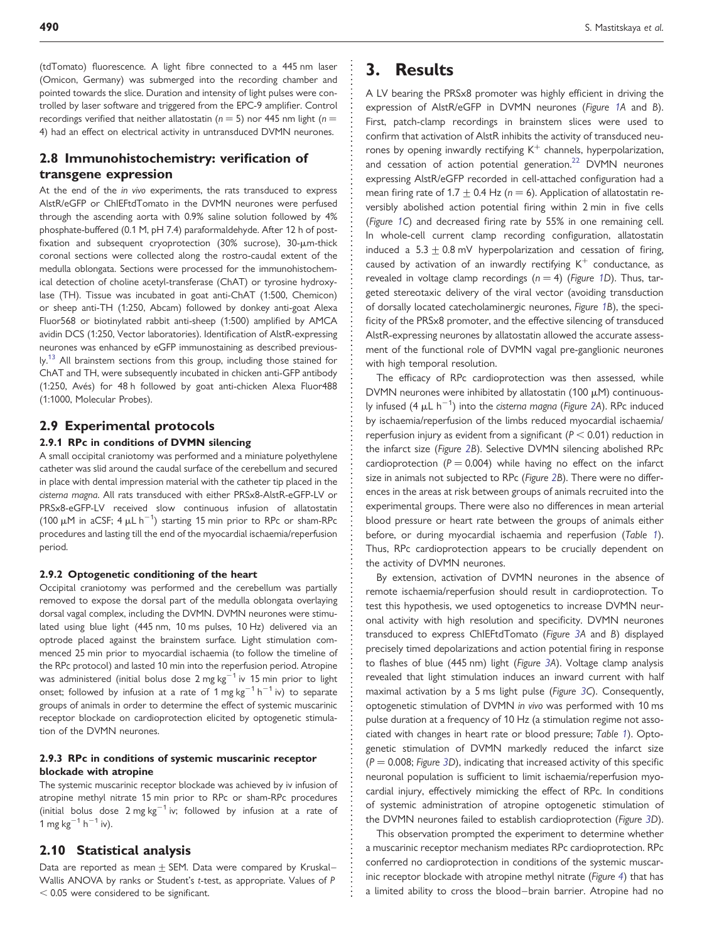(tdTomato) fluorescence. A light fibre connected to a 445 nm laser (Omicon, Germany) was submerged into the recording chamber and pointed towards the slice. Duration and intensity of light pulses were controlled by laser software and triggered from the EPC-9 amplifier. Control recordings verified that neither allatostatin ( $n = 5$ ) nor 445 nm light ( $n = 1$ ) 4) had an effect on electrical activity in untransduced DVMN neurones.

# 2.8 Immunohistochemistry: verification of transgene expression

At the end of the in vivo experiments, the rats transduced to express AlstR/eGFP or ChIEFtdTomato in the DVMN neurones were perfused through the ascending aorta with 0.9% saline solution followed by 4% phosphate-buffered (0.1 M, pH 7.4) paraformaldehyde. After 12 h of postfixation and subsequent cryoprotection (30% sucrose), 30-µm-thick coronal sections were collected along the rostro-caudal extent of the medulla oblongata. Sections were processed for the immunohistochemical detection of choline acetyl-transferase (ChAT) or tyrosine hydroxylase (TH). Tissue was incubated in goat anti-ChAT (1:500, Chemicon) or sheep anti-TH (1:250, Abcam) followed by donkey anti-goat Alexa Fluor568 or biotinylated rabbit anti-sheep (1:500) amplified by AMCA avidin DCS (1:250, Vector laboratories). Identification of AlstR-expressing neurones was enhanced by eGFP immunostaining as described previously.<sup>13</sup> All brainstem sections from this group, including those stained for ChAT and TH, were subsequently incubated in chicken anti-GFP antibody (1:250, Avés) for 48 h followed by goat anti-chicken Alexa Fluor488 (1:1000, Molecular Probes).

# 2.9 Experimental protocols

# 2.9.1 RPc in conditions of DVMN silencing

A small occipital craniotomy was performed and a miniature polyethylene catheter was slid around the caudal surface of the cerebellum and secured in place with dental impression material with the catheter tip placed in the cisterna magna. All rats transduced with either PRSx8-AlstR-eGFP-LV or PRSx8-eGFP-LV received slow continuous infusion of allatostatin (100  $\mu$ M in aCSF; 4  $\mu$ L h<sup>-1</sup>) starting 15 min prior to RPc or sham-RPc procedures and lasting till the end of the myocardial ischaemia/reperfusion period.

#### 2.9.2 Optogenetic conditioning of the heart

Occipital craniotomy was performed and the cerebellum was partially removed to expose the dorsal part of the medulla oblongata overlaying dorsal vagal complex, including the DVMN. DVMN neurones were stimulated using blue light (445 nm, 10 ms pulses, 10 Hz) delivered via an optrode placed against the brainstem surface. Light stimulation commenced 25 min prior to myocardial ischaemia (to follow the timeline of the RPc protocol) and lasted 10 min into the reperfusion period. Atropine was administered (initial bolus dose  $2 \text{ mg kg}^{-1}$  iv 15 min prior to light onset; followed by infusion at a rate of 1 mg  $kg^{-1} h^{-1}$  iv) to separate groups of animals in order to determine the effect of systemic muscarinic receptor blockade on cardioprotection elicited by optogenetic stimulation of the DVMN neurones.

#### 2.9.3 RPc in conditions of systemic muscarinic receptor blockade with atropine

The systemic muscarinic receptor blockade was achieved by iv infusion of atropine methyl nitrate 15 min prior to RPc or sham-RPc procedures (initial bolus dose  $2 \text{ mg kg}^{-1}$  iv; followed by infusion at a rate of 1 mg kg<sup>-1</sup> h<sup>-1</sup> iv).

### 2.10 Statistical analysis

Data are reported as mean  $\pm$  SEM. Data were compared by Kruskal– Wallis ANOVA by ranks or Student's t-test, as appropriate. Values of P  $<$  0.05 were considered to be significant.

# 3. Results

A LV bearing the PRSx8 promoter was highly efficient in driving the expression of AlstR/eGFP in DVMN neurones (Figure [1A](#page-2-0) and B). First, patch-clamp recordings in brainstem slices were used to confirm that activation of AlstR inhibits the activity of transduced neurones by opening inwardly rectifying  $K^+$  channels, hyperpolarization, and cessation of action potential generation.<sup>[22](#page-7-0)</sup> DVMN neurones expressing AlstR/eGFP recorded in cell-attached configuration had a mean firing rate of 1.7  $\pm$  0.4 Hz (n = 6). Application of allatostatin reversibly abolished action potential firing within 2 min in five cells (Figure [1](#page-2-0)C) and decreased firing rate by 55% in one remaining cell. In whole-cell current clamp recording configuration, allatostatin induced a  $5.3 + 0.8$  mV hyperpolarization and cessation of firing, caused by activation of an inwardly rectifying  $K^+$  conductance, as revealed in voltage clamp recordings ( $n = 4$ ) (Figure [1D](#page-2-0)). Thus, targeted stereotaxic delivery of the viral vector (avoiding transduction of dorsally located catecholaminergic neurones, Figure [1](#page-2-0)B), the specificity of the PRSx8 promoter, and the effective silencing of transduced AlstR-expressing neurones by allatostatin allowed the accurate assessment of the functional role of DVMN vagal pre-ganglionic neurones with high temporal resolution.

The efficacy of RPc cardioprotection was then assessed, while DVMN neurones were inhibited by allatostatin (100  $\mu$ M) continuously infused (4  $\mu$ L h<sup>-1</sup>) into the cisterna magna (Figure [2](#page-4-0)A). RPc induced by ischaemia/reperfusion of the limbs reduced myocardial ischaemia/ reperfusion injury as evident from a significant ( $P < 0.01$ ) reduction in the infarct size (Figure [2B](#page-4-0)). Selective DVMN silencing abolished RPc cardioprotection ( $P = 0.004$ ) while having no effect on the infarct size in animals not subjected to RPc (Figure [2](#page-4-0)B). There were no differences in the areas at risk between groups of animals recruited into the experimental groups. There were also no differences in mean arterial blood pressure or heart rate between the groups of animals either before, or during myocardial ischaemia and reperfusion (Table [1](#page-4-0)). Thus, RPc cardioprotection appears to be crucially dependent on the activity of DVMN neurones.

By extension, activation of DVMN neurones in the absence of remote ischaemia/reperfusion should result in cardioprotection. To test this hypothesis, we used optogenetics to increase DVMN neuronal activity with high resolution and specificity. DVMN neurones transduced to express ChIEFtdTomato (Figure [3A](#page-5-0) and B) displayed precisely timed depolarizations and action potential firing in response to flashes of blue (445 nm) light (Figure [3A](#page-5-0)). Voltage clamp analysis revealed that light stimulation induces an inward current with half maximal activation by a 5 ms light pulse (Figure [3](#page-5-0)C). Consequently, optogenetic stimulation of DVMN in vivo was performed with 10 ms pulse duration at a frequency of 10 Hz (a stimulation regime not associated with changes in heart rate or blood pressure; Table [1](#page-4-0)). Optogenetic stimulation of DVMN markedly reduced the infarct size  $(P = 0.008;$  Figure [3D](#page-5-0)), indicating that increased activity of this specific neuronal population is sufficient to limit ischaemia/reperfusion myocardial injury, effectively mimicking the effect of RPc. In conditions of systemic administration of atropine optogenetic stimulation of the DVMN neurones failed to establish cardioprotection (Figure [3D](#page-5-0)).

This observation prompted the experiment to determine whether a muscarinic receptor mechanism mediates RPc cardioprotection. RPc conferred no cardioprotection in conditions of the systemic muscarinic receptor blockade with atropine methyl nitrate (Figure [4](#page-6-0)) that has a limited ability to cross the blood-brain barrier. Atropine had no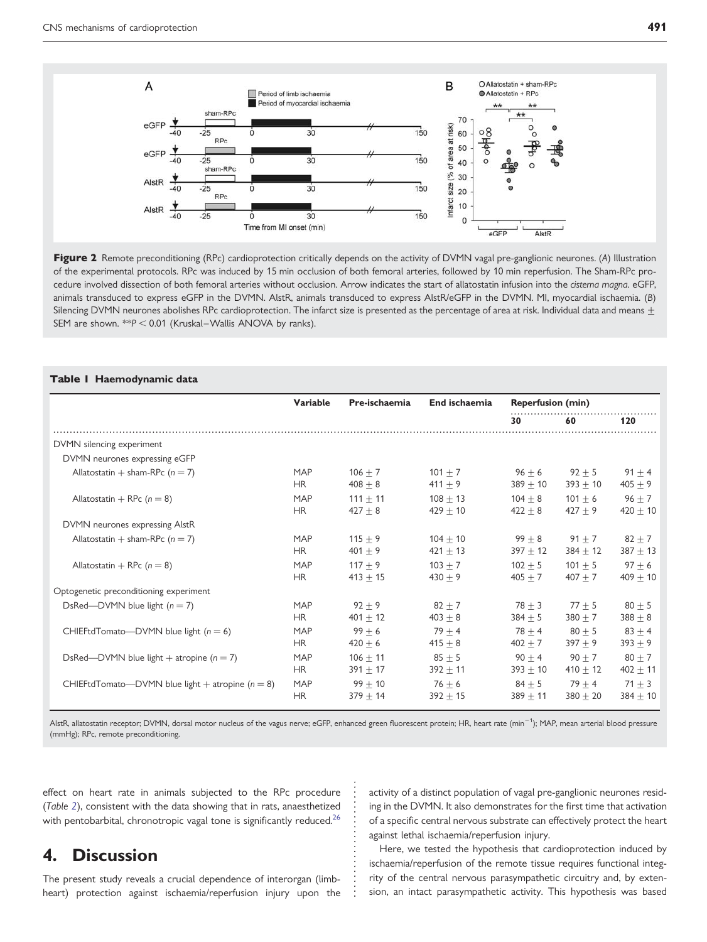Table 1 Haemodynamic data

<span id="page-4-0"></span>

Figure 2 Remote preconditioning (RPc) cardioprotection critically depends on the activity of DVMN vagal pre-ganglionic neurones. (A) Illustration of the experimental protocols. RPc was induced by 15 min occlusion of both femoral arteries, followed by 10 min reperfusion. The Sham-RPc procedure involved dissection of both femoral arteries without occlusion. Arrow indicates the start of allatostatin infusion into the cisterna magna. eGFP, animals transduced to express eGFP in the DVMN. AlstR, animals transduced to express AlstR/eGFP in the DVMN. MI, myocardial ischaemia. (B) Silencing DVMN neurones abolishes RPc cardioprotection. The infarct size is presented as the percentage of area at risk. Individual data and means  $\pm$ SEM are shown.  $*P < 0.01$  (Kruskal–Wallis ANOVA by ranks).

|                                                    | Variable       | Pre-ischaemia | End ischaemia | <b>Reperfusion (min)</b> |            |             |
|----------------------------------------------------|----------------|---------------|---------------|--------------------------|------------|-------------|
|                                                    |                |               |               | 30                       | 60         | 120         |
| DVMN silencing experiment                          |                |               |               |                          |            |             |
| DVMN neurones expressing eGFP                      |                |               |               |                          |            |             |
| Allatostatin + sham-RPc $(n = 7)$                  | <b>MAP</b>     | $106 + 7$     | $101 + 7$     | $96 + 6$                 | $92 + 5$   | $91 + 4$    |
|                                                    | <b>HR</b>      | $408 + 8$     | $411 + 9$     | $389 + 10$               | $393 + 10$ | $405 + 9$   |
| Allatostatin + RPc $(n = 8)$                       | <b>MAP</b>     | $111 + 11$    | $108 + 13$    | $104 + 8$                | $101 + 6$  | $96 + 7$    |
|                                                    | H <sub>R</sub> | $427 + 8$     | $429 + 10$    | $422 + 8$                | $427 + 9$  | $420 + 10$  |
| DVMN neurones expressing AlstR                     |                |               |               |                          |            |             |
| Allatostatin + sham-RPc $(n = 7)$                  | <b>MAP</b>     | 115 $\pm$ 9   | $104 + 10$    | $99 + 8$                 | $91 + 7$   | $82 \pm 7$  |
|                                                    | <b>HR</b>      | 401 $\pm$ 9   | $421 \pm 13$  | $397 + 12$               | $384 + 12$ | $387 + 13$  |
| Allatostatin + RPc $(n = 8)$                       | MAP            | $117 + 9$     | $103 + 7$     | $102 + 5$                | $101 + 5$  | $97 + 6$    |
|                                                    | <b>HR</b>      | $413 + 15$    | $430 + 9$     | $405 + 7$                | $407 + 7$  | $409 + 10$  |
| Optogenetic preconditioning experiment             |                |               |               |                          |            |             |
| DsRed—DVMN blue light $(n = 7)$                    | <b>MAP</b>     | $92 + 9$      | $82 + 7$      | $78 + 3$                 | $77 + 5$   | $80 + 5$    |
|                                                    | <b>HR</b>      | $401 + 12$    | $403 + 8$     | $384 + 5$                | $380 + 7$  | $388 \pm 8$ |
| CHIEFtdTomato—DVMN blue light $(n = 6)$            | <b>MAP</b>     | $99 + 6$      | $79 + 4$      | $78 + 4$                 | $80 + 5$   | $83 + 4$    |
|                                                    | <b>HR</b>      | $420 + 6$     | $415 + 8$     | $402 + 7$                | $397 + 9$  | $393 + 9$   |
| DsRed—DVMN blue light + atropine ( $n = 7$ )       | <b>MAP</b>     | $106 + 11$    | $85 + 5$      | $90 + 4$                 | $90 + 7$   | $80 + 7$    |
|                                                    | <b>HR</b>      | $391 + 17$    | $392 + 11$    | $393 + 10$               | $410 + 12$ | $402 + 11$  |
| CHIEFtdTomato—DVMN blue light + atropine $(n = 8)$ | <b>MAP</b>     | $99 + 10$     | $76 + 6$      | $84 + 5$                 | $79 + 4$   | $71 \pm 3$  |
|                                                    | <b>HR</b>      | $379 + 14$    | $392 + 15$    | $389 + 11$               | $380 + 20$ | $384 + 10$  |

AlstR, allatostatin receptor; DVMN, dorsal motor nucleus of the vagus nerve; eGFP, enhanced green fluorescent protein; HR, heart rate (min $^{-1}$ ); MAP, mean arterial blood pressure (mmHg); RPc, remote preconditioning.

effect on heart rate in animals subjected to the RPc procedure (Table [2](#page-6-0)), consistent with the data showing that in rats, anaesthetized with pentobarbital, chronotropic vagal tone is significantly reduced.<sup>[26](#page-7-0)</sup>

# 4. Discussion

The present study reveals a crucial dependence of interorgan (limbheart) protection against ischaemia/reperfusion injury upon the

activity of a distinct population of vagal pre-ganglionic neurones residing in the DVMN. It also demonstrates for the first time that activation of a specific central nervous substrate can effectively protect the heart against lethal ischaemia/reperfusion injury.

Here, we tested the hypothesis that cardioprotection induced by ischaemia/reperfusion of the remote tissue requires functional integrity of the central nervous parasympathetic circuitry and, by extension, an intact parasympathetic activity. This hypothesis was based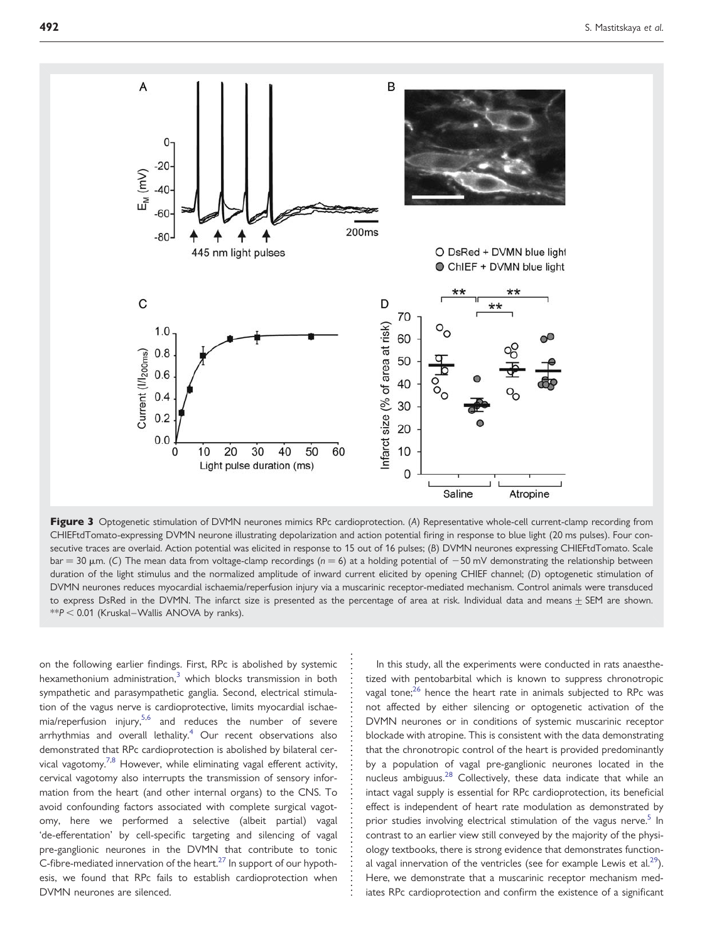<span id="page-5-0"></span>

Figure 3 Optogenetic stimulation of DVMN neurones mimics RPc cardioprotection. (A) Representative whole-cell current-clamp recording from CHIEFtdTomato-expressing DVMN neurone illustrating depolarization and action potential firing in response to blue light (20 ms pulses). Four consecutive traces are overlaid. Action potential was elicited in response to 15 out of 16 pulses; (B) DVMN neurones expressing CHIEFtdTomato. Scale  $bar = 30 \mu m$ . (C) The mean data from voltage-clamp recordings ( $n = 6$ ) at a holding potential of  $-50 \text{ mV}$  demonstrating the relationship between duration of the light stimulus and the normalized amplitude of inward current elicited by opening CHIEF channel; (D) optogenetic stimulation of DVMN neurones reduces myocardial ischaemia/reperfusion injury via a muscarinic receptor-mediated mechanism. Control animals were transduced to express DsRed in the DVMN. The infarct size is presented as the percentage of area at risk. Individual data and means  $\pm$  SEM are shown.  $*P < 0.01$  (Kruskal-Wallis ANOVA by ranks).

on the following earlier findings. First, RPc is abolished by systemic hexamethonium administration, $3$  which blocks transmission in both sympathetic and parasympathetic ganglia. Second, electrical stimulation of the vagus nerve is cardioprotective, limits myocardial ischae $mia/reperfusion$  injury, $5,6$  $5,6$  and reduces the number of severe arrhythmias and overall lethality. $4$  Our recent observations also demonstrated that RPc cardioprotection is abolished by bilateral cervical vagotomy.<sup>7,8</sup> However, while eliminating vagal efferent activity, cervical vagotomy also interrupts the transmission of sensory information from the heart (and other internal organs) to the CNS. To avoid confounding factors associated with complete surgical vagotomy, here we performed a selective (albeit partial) vagal 'de-efferentation' by cell-specific targeting and silencing of vagal pre-ganglionic neurones in the DVMN that contribute to tonic C-fibre-mediated innervation of the heart.<sup>[27](#page-7-0)</sup> In support of our hypothesis, we found that RPc fails to establish cardioprotection when DVMN neurones are silenced.

In this study, all the experiments were conducted in rats anaesthetized with pentobarbital which is known to suppress chronotropic vagal tone;<sup>[26](#page-7-0)</sup> hence the heart rate in animals subjected to RPc was not affected by either silencing or optogenetic activation of the DVMN neurones or in conditions of systemic muscarinic receptor blockade with atropine. This is consistent with the data demonstrating that the chronotropic control of the heart is provided predominantly by a population of vagal pre-ganglionic neurones located in the nucleus ambiguus.<sup>[28](#page-7-0)</sup> Collectively, these data indicate that while an intact vagal supply is essential for RPc cardioprotection, its beneficial effect is independent of heart rate modulation as demonstrated by prior studies involving electrical stimulation of the vagus nerve.<sup>5</sup> In contrast to an earlier view still conveyed by the majority of the physiology textbooks, there is strong evidence that demonstrates functional vagal innervation of the ventricles (see for example Lewis et al. $^{29}$ ). Here, we demonstrate that a muscarinic receptor mechanism mediates RPc cardioprotection and confirm the existence of a significant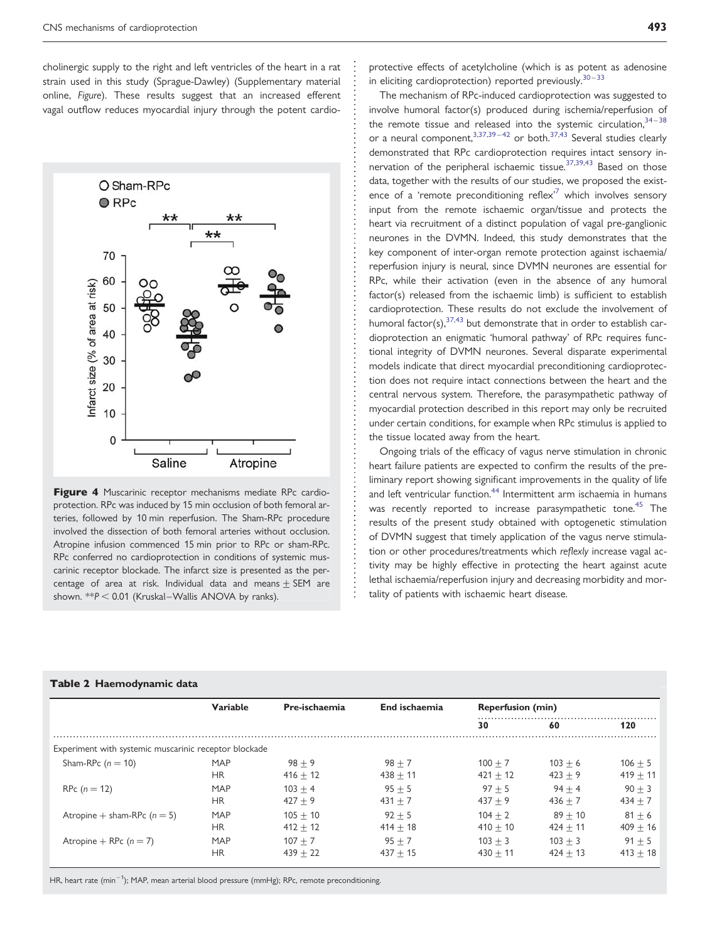<span id="page-6-0"></span>cholinergic supply to the right and left ventricles of the heart in a rat strain used in this study (Sprague-Dawley) [\(Supplementary material](http://cardiovascres.oxfordjournals.org/lookup/suppl/doi:10.1093/cvr/cvs212/-/DC1) [online,](http://cardiovascres.oxfordjournals.org/lookup/suppl/doi:10.1093/cvr/cvs212/-/DC1) Figure). These results suggest that an increased efferent vagal outflow reduces myocardial injury through the potent cardio-



Figure 4 Muscarinic receptor mechanisms mediate RPc cardioprotection. RPc was induced by 15 min occlusion of both femoral arteries, followed by 10 min reperfusion. The Sham-RPc procedure involved the dissection of both femoral arteries without occlusion. Atropine infusion commenced 15 min prior to RPc or sham-RPc. RPc conferred no cardioprotection in conditions of systemic muscarinic receptor blockade. The infarct size is presented as the percentage of area at risk. Individual data and means  $\pm$  SEM are shown.  $**P < 0.01$  (Kruskal – Wallis ANOVA by ranks).

protective effects of acetylcholine (which is as potent as adenosine in eliciting cardioprotection) reported previously. $30-33$  $30-33$ 

The mechanism of RPc-induced cardioprotection was suggested to involve humoral factor(s) produced during ischemia/reperfusion of the remote tissue and released into the systemic circulation,  $34-38$  $34-38$  $34-38$ or a neural component,  $3,37,39-42$  $3,37,39-42$  or both.  $37,43$  $37,43$  $37,43$  Several studies clearly demonstrated that RPc cardioprotection requires intact sensory in-nervation of the peripheral ischaemic tissue.<sup>[37,39,43](#page-7-0)</sup> Based on those data, together with the results of our studies, we proposed the existence of a 'remote preconditioning reflex'<sup>7</sup> which involves sensory input from the remote ischaemic organ/tissue and protects the heart via recruitment of a distinct population of vagal pre-ganglionic neurones in the DVMN. Indeed, this study demonstrates that the key component of inter-organ remote protection against ischaemia/ reperfusion injury is neural, since DVMN neurones are essential for RPc, while their activation (even in the absence of any humoral factor(s) released from the ischaemic limb) is sufficient to establish cardioprotection. These results do not exclude the involvement of humoral factor(s),  $37,43$  but demonstrate that in order to establish cardioprotection an enigmatic 'humoral pathway' of RPc requires functional integrity of DVMN neurones. Several disparate experimental models indicate that direct myocardial preconditioning cardioprotection does not require intact connections between the heart and the central nervous system. Therefore, the parasympathetic pathway of myocardial protection described in this report may only be recruited under certain conditions, for example when RPc stimulus is applied to the tissue located away from the heart.

Ongoing trials of the efficacy of vagus nerve stimulation in chronic heart failure patients are expected to confirm the results of the preliminary report showing significant improvements in the quality of life and left ventricular function.<sup>44</sup> Intermittent arm ischaemia in humans was recently reported to increase parasympathetic tone.<sup>45</sup> The results of the present study obtained with optogenetic stimulation of DVMN suggest that timely application of the vagus nerve stimulation or other procedures/treatments which reflexly increase vagal activity may be highly effective in protecting the heart against acute lethal ischaemia/reperfusion injury and decreasing morbidity and mortality of patients with ischaemic heart disease.

|                                                       | Variable   | Pre-ischaemia | End ischaemia | <b>Reperfusion (min)</b> |            |            |
|-------------------------------------------------------|------------|---------------|---------------|--------------------------|------------|------------|
|                                                       |            |               |               | 30                       | 60         | 120        |
| Experiment with systemic muscarinic receptor blockade |            |               |               |                          |            |            |
| Sham-RPc $(n = 10)$                                   | <b>MAP</b> | $98 + 9$      | $98 + 7$      | $100 + 7$                | $103 + 6$  | $106 + 5$  |
|                                                       | <b>HR</b>  | $416 + 12$    | $438 + 11$    | $421 + 12$               | $423 + 9$  | $419 + 11$ |
| RPc $(n = 12)$                                        | <b>MAP</b> | $103 + 4$     | $95 + 5$      | $97 + 5$                 | $94 + 4$   | $90 + 3$   |
|                                                       | HR         | $427 + 9$     | $431 + 7$     | $437 + 9$                | $436 + 7$  | $434 + 7$  |
| Atropine + sham-RPc $(n = 5)$                         | <b>MAP</b> | $105 + 10$    | $92 + 5$      | $104 + 2$                | $89 + 10$  | $81 + 6$   |
|                                                       | HR         | $412 + 12$    | $414 + 18$    | $410 + 10$               | $424 + 11$ | $409 + 16$ |
| Atropine + RPc $(n = 7)$                              | <b>MAP</b> | $107 + 7$     | $95 + 7$      | $103 + 3$                | $103 + 3$  | $91 + 5$   |
|                                                       | HR         | $439 + 22$    | $437 + 15$    | $430 + 11$               | $424 + 13$ | $413 + 18$ |

#### Table 2 Haemodynamic data

HR, heart rate (min $^{-1}$ ); MAP, mean arterial blood pressure (mmHg); RPc, remote preconditioning.